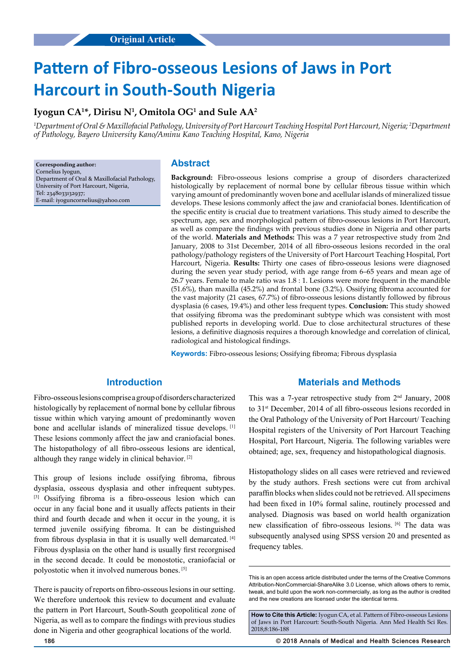# **Pattern of Fibro-osseous Lesions of Jaws in Port Harcourt in South-South Nigeria**

## **Iyogun CA1 \*, Dirisu N1 , Omitola OG1 and Sule AA2**

*1 Department of Oral & Maxillofacial Pathology, University of Port Harcourt Teaching Hospital Port Harcourt, Nigeria; 2 Department of Pathology, Bayero University Kano/Aminu Kano Teaching Hospital, Kano, Nigeria*

**Corresponding author:** Cornelius Iyogun, Department of Oral & Maxillofacial Pathology, University of Port Harcourt, Nigeria, Tel: 2348033132937; E-mail: iyoguncornelius@yahoo.com

#### **Abstract**

**Background:** Fibro-osseous lesions comprise a group of disorders characterized histologically by replacement of normal bone by cellular fibrous tissue within which varying amount of predominantly woven bone and acellular islands of mineralized tissue develops. These lesions commonly affect the jaw and craniofacial bones. Identification of the specific entity is crucial due to treatment variations. This study aimed to describe the spectrum, age, sex and morphological pattern of fibro-osseous lesions in Port Harcourt, as well as compare the findings with previous studies done in Nigeria and other parts of the world. **Materials and Methods:** This was a 7 year retrospective study from 2nd January, 2008 to 31st December, 2014 of all fibro-osseous lesions recorded in the oral pathology/pathology registers of the University of Port Harcourt Teaching Hospital, Port Harcourt, Nigeria. **Results:** Thirty one cases of fibro-osseous lesions were diagnosed during the seven year study period, with age range from 6–65 years and mean age of 26.7 years. Female to male ratio was 1.8 : 1. Lesions were more frequent in the mandible (51.6%), than maxilla (45.2%) and frontal bone (3.2%). Ossifying fibroma accounted for the vast majority (21 cases, 67.7%) of fibro-osseous lesions distantly followed by fibrous dysplasia (6 cases, 19.4%) and other less frequent types. **Conclusion:** This study showed that ossifying fibroma was the predominant subtype which was consistent with most published reports in developing world. Due to close architectural structures of these lesions, a definitive diagnosis requires a thorough knowledge and correlation of clinical, radiological and histological findings.

**Keywords:** Fibro-osseous lesions; Ossifying fibroma; Fibrous dysplasia

### **Introduction**

Fibro-osseous lesions comprise a group of disorders characterized histologically by replacement of normal bone by cellular fibrous tissue within which varying amount of predominantly woven bone and acellular islands of mineralized tissue develops. [1] These lesions commonly affect the jaw and craniofacial bones. The histopathology of all fibro-osseous lesions are identical, although they range widely in clinical behavior. [2]

This group of lesions include ossifying fibroma, fibrous dysplasia, osseous dysplasia and other infrequent subtypes. [3] Ossifying fibroma is a fibro-osseous lesion which can occur in any facial bone and it usually affects patients in their third and fourth decade and when it occur in the young, it is termed juvenile ossifying fibroma. It can be distinguished from fibrous dysplasia in that it is usually well demarcated. [4] Fibrous dysplasia on the other hand is usually first recorgnised in the second decade. It could be monostotic, craniofacial or polyostotic when it involved numerous bones. [5]

There is paucity of reports on fibro-osseous lesions in our setting. We therefore undertook this review to document and evaluate the pattern in Port Harcourt, South-South geopolitical zone of Nigeria, as well as to compare the findings with previous studies done in Nigeria and other geographical locations of the world.

#### **Materials and Methods**

This was a 7-year retrospective study from  $2<sup>nd</sup>$  January, 2008 to 31<sup>st</sup> December, 2014 of all fibro-osseous lesions recorded in the Oral Pathology of the University of Port Harcourt/ Teaching Hospital registers of the University of Port Harcourt Teaching Hospital, Port Harcourt, Nigeria. The following variables were obtained; age, sex, frequency and histopathological diagnosis.

Histopathology slides on all cases were retrieved and reviewed by the study authors. Fresh sections were cut from archival paraffin blocks when slides could not be retrieved. All specimens had been fixed in  $10\%$  formal saline, routinely processed and analysed. Diagnosis was based on world health organization new classification of fibro-osseous lesions. [6] The data was subsequently analysed using SPSS version 20 and presented as frequency tables.

**186 © 2018 Annals of Medical and Health Sciences Research** 

This is an open access article distributed under the terms of the Creative Commons Attribution-NonCommercial-ShareAlike 3.0 License, which allows others to remix, tweak, and build upon the work non‑commercially, as long as the author is credited and the new creations are licensed under the identical terms.

**How to Cite this Article:** Iyogun CA, et al. Pattern of Fibro-osseous Lesions of Jaws in Port Harcourt: South-South Nigeria. Ann Med Health Sci Res. 2018;8:186-188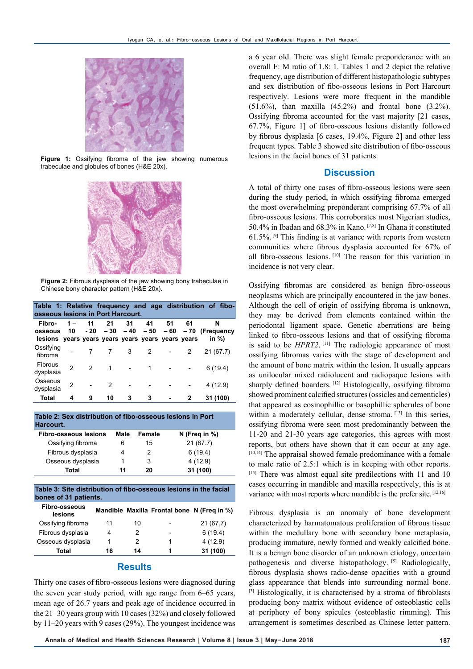

**Figure 1:** Ossifying fibroma of the jaw showing numerous trabeculae and globules of bones (H&E 20x).



**Figure 2:** Fibrous dysplasia of the jaw showing bony trabeculae in Chinese bony character pattern (H&E 20x).

| Table 1: Relative frequency and age distribution of fibo-<br>osseous lesions in Port Harcourt. |             |               |               |    |    |    |    |                                                             |  |
|------------------------------------------------------------------------------------------------|-------------|---------------|---------------|----|----|----|----|-------------------------------------------------------------|--|
| Fibro-<br>osseous<br>lesions years years years years years years years                         | $1 -$<br>10 | 11            | 21            | 31 | 41 | 51 | 61 | N<br>$-20 - 30 - 40 - 50 - 60 - 70$ (Frequency<br>in $\%$ ) |  |
| Ossifying<br>fibroma                                                                           |             |               |               | 3  | 2  |    | 2  | 21(67.7)                                                    |  |
| Fibrous<br>dysplasia                                                                           | 2           | $\mathcal{P}$ | 1             |    | 1  |    |    | 6(19.4)                                                     |  |
| Osseous<br>dysplasia                                                                           | 2           |               | $\mathcal{P}$ |    |    |    |    | 4(12.9)                                                     |  |
| <b>Total</b>                                                                                   | 4           | 9             | 10            | 3  | 3  |    |    | 31 (100)                                                    |  |

**Table 2: Sex distribution of fibo-osseous lesions in Port Harcourt. Fibro-osseous lesions Male Female N (Freq in %)**

| Total             | 11 | 20 | 31 (100)  |
|-------------------|----|----|-----------|
| Osseous dysplasia |    | 3  | 4 (12.9)  |
| Fibrous dysplasia | 4  |    | 6(19.4)   |
| Ossifying fibroma | 6  | 15 | 21 (67.7) |

**Table 3: Site distribution of fibo-osseous lesions in the facial bones of 31 patients.**

| <b>Fibro-osseous</b><br>lesions |    |    |                          | Mandible Maxilla Frontal bone N (Freq in %) |
|---------------------------------|----|----|--------------------------|---------------------------------------------|
| Ossifying fibroma               | 11 | 10 |                          | 21(67.7)                                    |
| Fibrous dysplasia               | 4  | 2  | $\overline{\phantom{a}}$ | 6(19.4)                                     |
| Osseous dysplasia               | 1  | 2  |                          | 4(12.9)                                     |
| Total                           | 16 | 14 |                          | 31 (100)                                    |

#### **Results**

Thirty one cases of fibro-osseous lesions were diagnosed during the seven year study period, with age range from 6–65 years, mean age of 26.7 years and peak age of incidence occurred in the 21–30 years group with 10 cases (32%) and closely followed by 11–20 years with 9 cases (29%). The youngest incidence was

a 6 year old. There was slight female preponderance with an overall F: M ratio of 1.8: 1. Tables 1 and 2 depict the relative frequency, age distribution of different histopathologic subtypes and sex distribution of fibo-osseous lesions in Port Harcourt respectively. Lesions were more frequent in the mandible  $(51.6\%)$ , than maxilla  $(45.2\%)$  and frontal bone  $(3.2\%)$ . Ossifying fibroma accounted for the vast majority [21 cases, 67.7%, Figure 1] of fibro-osseous lesions distantly followed by fibrous dysplasia [6 cases, 19.4%, Figure 2] and other less frequent types. Table 3 showed site distribution of fibo-osseous lesions in the facial bones of 31 patients.

#### **Discussion**

A total of thirty one cases of fibro-osseous lesions were seen during the study period, in which ossifying fibroma emerged the most overwhelming preponderant comprising 67.7% of all fibro-osseous lesions. This corroborates most Nigerian studies, 50.4% in Ibadan and 68.3% in Kano. [7,8] In Ghana it constituted  $61.5\%$ . <sup>[9]</sup> This finding is at variance with reports from western communities where fibrous dysplasia accounted for 67% of all fibro-osseous lesions. [10] The reason for this variation in incidence is not very clear.

Ossifying fibromas are considered as benign fibro-osseous neoplasms which are principally encountered in the jaw bones. Although the cell of origin of ossifying fibroma is unknown, they may be derived from elements contained within the periodontal ligament space. Genetic aberrations are being linked to fibro-osseous lesions and that of ossifying fibroma is said to be *HPRT2*.<sup>[11]</sup> The radiologic appearance of most ossifying fibromas varies with the stage of development and the amount of bone matrix within the lesion. It usually appears as unilocular mixed radiolucent and radiopaque lesions with sharply defined boarders. [12] Histologically, ossifying fibroma showed prominent calcified structures (ossicles and cementicles) that appeared as eosinophillic or basophillic spherules of bone within a moderately cellular, dense stroma. [13] In this series, ossifying fibroma were seen most predominantly between the 11-20 and 21-30 years age categories, this agrees with most reports, but others have shown that it can occur at any age. [10,14] The appraisal showed female predominance with a female to male ratio of 2.5:1 which is in keeping with other reports.  $[15]$  There was almost equal site predilections with 11 and 10 cases occurring in mandible and maxilla respectively, this is at variance with most reports where mandible is the prefer site. [12,16]

Fibrous dysplasia is an anomaly of bone development characterized by harmatomatous proliferation of fibrous tissue within the medullary bone with secondary bone metaplasia, producing immature, newly formed and weakly calcified bone. It is a benign bone disorder of an unknown etiology, uncertain pathogenesis and diverse histopathology. [5] Radiologically, fibrous dysplasia shows radio-dense opacities with a ground glass appearance that blends into surrounding normal bone. [3] Histologically, it is characterised by a stroma of fibroblasts producing bony matrix without evidence of osteoblastic cells at periphery of bony spicules (osteoblastic rimming). This arrangement is sometimes described as Chinese letter pattern.